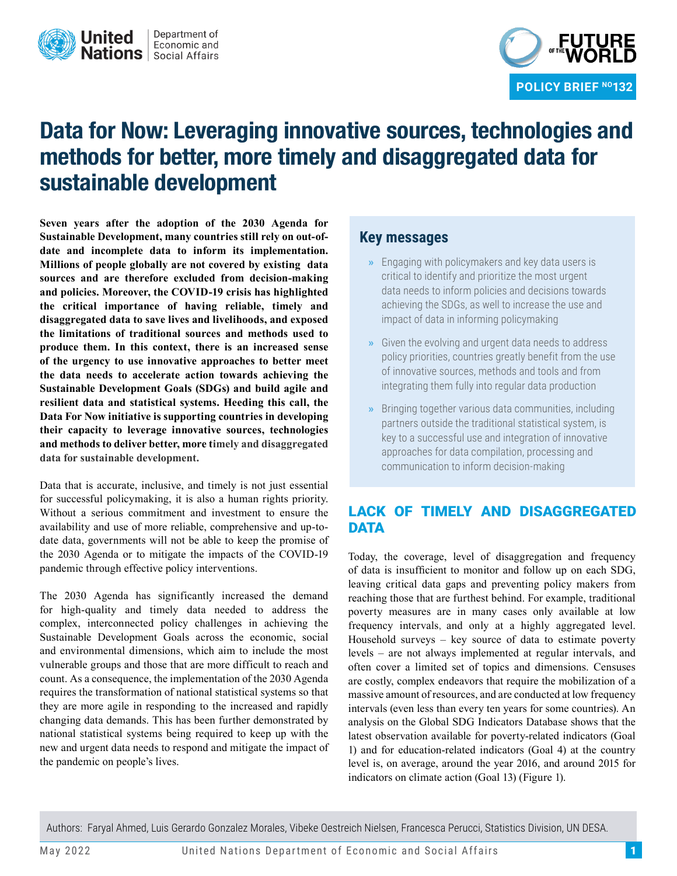



# **Data for Now: Leveraging innovative sources, technologies and methods for better, more timely and disaggregated data for sustainable development**

**Seven years after the adoption of the 2030 Agenda for Sustainable Development, many countries still rely on out-ofdate and incomplete data to inform its implementation. Millions of people globally are not covered by existing data sources and are therefore excluded from decision-making and policies. Moreover, the COVID-19 crisis has highlighted the critical importance of having reliable, timely and disaggregated data to save lives and livelihoods, and exposed the limitations of traditional sources and methods used to produce them. In this context, there is an increased sense of the urgency to use innovative approaches to better meet the data needs to accelerate action towards achieving the Sustainable Development Goals (SDGs) and build agile and resilient data and statistical systems. Heeding this call, the Data For Now initiative is supporting countries in developing their capacity to leverage innovative sources, technologies and methods to deliver better, more timely and disaggregated data for sustainable development.**

Data that is accurate, inclusive, and timely is not just essential for successful policymaking, it is also a human rights priority. Without a serious commitment and investment to ensure the availability and use of more reliable, comprehensive and up-todate data, governments will not be able to keep the promise of the 2030 Agenda or to mitigate the impacts of the COVID-19 pandemic through effective policy interventions.

The 2030 Agenda has significantly increased the demand for high-quality and timely data needed to address the complex, interconnected policy challenges in achieving the Sustainable Development Goals across the economic, social and environmental dimensions, which aim to include the most vulnerable groups and those that are more difficult to reach and count. As a consequence, the implementation of the 2030 Agenda requires the transformation of national statistical systems so that they are more agile in responding to the increased and rapidly changing data demands. This has been further demonstrated by national statistical systems being required to keep up with the new and urgent data needs to respond and mitigate the impact of the pandemic on people's lives.

## **Key messages**

- **»** Engaging with policymakers and key data users is critical to identify and prioritize the most urgent data needs to inform policies and decisions towards achieving the SDGs, as well to increase the use and impact of data in informing policymaking
- **»** Given the evolving and urgent data needs to address policy priorities, countries greatly benefit from the use of innovative sources, methods and tools and from integrating them fully into regular data production
- **»** Bringing together various data communities, including partners outside the traditional statistical system, is key to a successful use and integration of innovative approaches for data compilation, processing and communication to inform decision-making

## LACK OF TIMELY AND DISAGGREGATED DATA

Today, the coverage, level of disaggregation and frequency of data is insufficient to monitor and follow up on each SDG, leaving critical data gaps and preventing policy makers from reaching those that are furthest behind. For example, traditional poverty measures are in many cases only available at low frequency intervals, and only at a highly aggregated level. Household surveys – key source of data to estimate poverty levels – are not always implemented at regular intervals, and often cover a limited set of topics and dimensions. Censuses are costly, complex endeavors that require the mobilization of a massive amount of resources, and are conducted at low frequency intervals (even less than every ten years for some countries). An analysis on the Global SDG Indicators Database shows that the latest observation available for poverty-related indicators (Goal 1) and for education-related indicators (Goal 4) at the country level is, on average, around the year 2016, and around 2015 for indicators on climate action (Goal 13) (Figure 1).

Authors: Faryal Ahmed, Luis Gerardo Gonzalez Morales, Vibeke Oestreich Nielsen, Francesca Perucci, Statistics Division, UN DESA.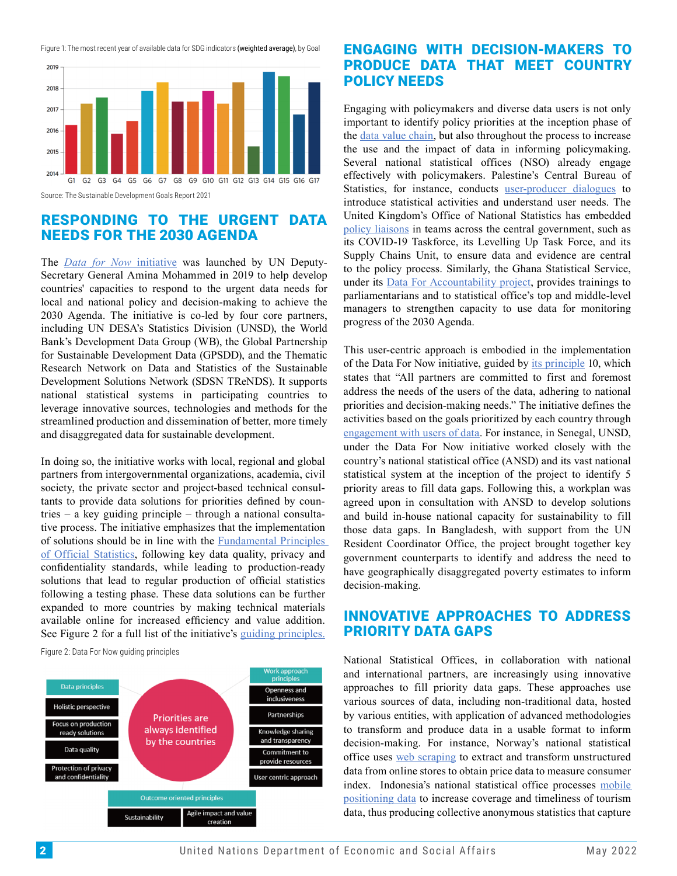Figure 1: The most recent year of available data for SDG indicators (weighted average), by Goal



#### RESPONDING TO THE URGENT DATA NEEDS FOR THE 2030 AGENDA

The *Data for Now* initiative was launched by UN Deputy-Secr[etary General Amina Mo](https://unstats.un.org/capacity-development/data-for-now)hammed in 2019 to help develop countries' capacities to respond to the urgent data needs for local and national policy and decision-making to achieve the 2030 Agenda. The initiative is co-led by four core partners, including UN DESA's Statistics Division (UNSD), the World Bank's Development Data Group (WB), the Global Partnership for Sustainable Development Data (GPSDD), and the Thematic Research Network on Data and Statistics of the Sustainable Development Solutions Network (SDSN TReNDS). It supports national statistical systems in participating countries to leverage innovative sources, technologies and methods for the streamlined production and dissemination of better, more timely and disaggregated data for sustainable development.

In doing so, the initiative works with local, regional and global partners from intergovernmental organizations, academia, civil society, the private sector and project-based technical consultants to provide data solutions for priorities defined by countries – a key guiding principle – through a national consultative process. The initiative emphasizes that the implementation of solutions should be in line with the Fundamental Principles of Official Statistics, following key d[ata quality, privacy and](https://unstats.un.org/unsd/dnss/gp/FP-New-E.pdf)  [confidentiality stand](https://unstats.un.org/unsd/dnss/gp/FP-New-E.pdf)ards, while leading to production-ready solutions that lead to regular production of official statistics following a testing phase. These data solutions can be further expanded to more countries by making technical materials available online for increased efficiency and value addition. See Figure 2 for a full list of the initiative's [guiding principles.](https://unstats.un.org/capacity-development/data-for-now/data-for-now-guiding-principles)

Figure 2: Data For Now guiding principles



## ENGAGING WITH DECISION-MAKERS TO PRODUCE DATA THAT MEET COUNTRY POLICY NEEDS

Engaging with policymakers and diverse data users is not only important to identify policy priorities at the inception phase of the [data value chain](https://opendatawatch.com/reference/the-data-value-chain-executive-summary/), but also throughout the process to increase the use and the impact of data in informing policymaking. Several national statistical offices (NSO) already engage effectively with policymakers. Palestine's Central Bureau of Statistics, for instance, conducts [user-producer dialogues](https://unstats.un.org/capacity-development/data-for-now/presentations/PCBS_Palestine.pdf) to introduce statistical activities and understand user needs. The United Kingdom's Office of National Statistics has embedded [policy liaisons](https://unstats.un.org/capacity-development/data-for-now/presentations/ONS_UK.pdf) in teams across the central government, such as its COVID-19 Taskforce, its Levelling Up Task Force, and its Supply Chains Unit, to ensure data and evidence are central to the policy process. Similarly, the Ghana Statistical Service, under its [Data For Accountability project](https://unstats.un.org/capacity-development/data-for-now/presentations/Ghana.pdf), provides trainings to parliamentarians and to statistical office's top and middle-level managers to strengthen capacity to use data for monitoring progress of the 2030 Agenda.

This user-centric approach is embodied in the implementation of the Data For Now initiative, guided by [its principle](https://unstats.un.org/capacity-development/data-for-now/data-for-now-guiding-principles) 10, which states that "All partners are committed to first and foremost address the needs of the users of the data, adhering to national priorities and decision-making needs." The initiative defines the activities based on the goals prioritized by each country through [engagement with users of data.](https://unstats.un.org/capacity-development/data-for-now/engaging-with-decision-makers-to-produce-data-that-meet-country-policy-needs.cshtml) For instance, in Senegal, UNSD, under the Data For Now initiative worked closely with the country's national statistical office (ANSD) and its vast national statistical system at the inception of the project to identify 5 priority areas to fill data gaps. Following this, a workplan was agreed upon in consultation with ANSD to develop solutions and build in-house national capacity for sustainability to fill those data gaps. In Bangladesh, with support from the UN Resident Coordinator Office, the project brought together key government counterparts to identify and address the need to have geographically disaggregated poverty estimates to inform decision-making.

#### INNOVATIVE APPROACHES TO ADDRESS PRIORITY DATA GAPS

National Statistical Offices, in collaboration with national and international partners, are increasingly using innovative approaches to fill priority data gaps. These approaches use various sources of data, including non-traditional data, hosted by various entities, with application of advanced methodologies to transform and produce data in a usable format to inform decision-making. For instance, Norway's national statistical office uses [web scraping](https://unstats.un.org/capacity-development/data-for-now/presentations/Norway.pdf) to extract and transform unstructured data from online stores to obtain price data to measure consumer index. Indonesia's national statistical office processes [mobile](https://unstats.un.org/capacity-development/data-for-now/presentations/Indonesia.pdf)  [positioning data](https://unstats.un.org/capacity-development/data-for-now/presentations/Indonesia.pdf) to increase coverage and timeliness of tourism data, thus producing collective anonymous statistics that capture